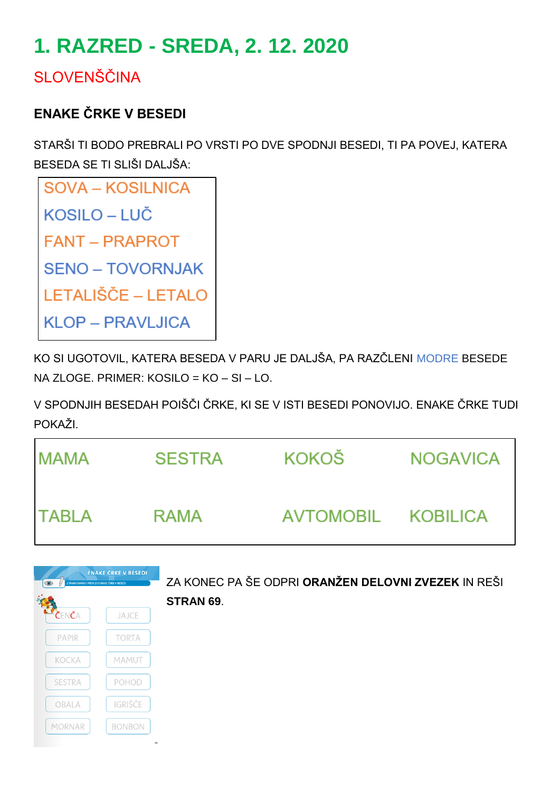# **1. RAZRED - SREDA, 2. 12. 2020**

## **SLOVENŠČINA**

## **ENAKE ČRKE V BESEDI**

STARŠI TI BODO PREBRALI PO VRSTI PO DVE SPODNJI BESEDI, TI PA POVEJ, KATERA BESEDA SE TI SLIŠI DALJŠA:

| SOVA – KOSILNICA        |
|-------------------------|
| <b>KOSILO – LUČ</b>     |
| <b>FANT - PRAPROT</b>   |
| <b>SENO – TOVORNJAK</b> |
| LETALIŠČE – LETALO      |
| KLOP – PRAVLJICA        |

KO SI UGOTOVIL, KATERA BESEDA V PARU JE DALJŠA, PA RAZČLENI MODRE BESEDE NA ZLOGE. PRIMER: KOSILO = KO – SI – LO.

V SPODNJIH BESEDAH POIŠČI ČRKE, KI SE V ISTI BESEDI PONOVIJO. ENAKE ČRKE TUDI POKAŽI.

| <b>MAMA</b>  | <b>SESTRA</b> | KOKOŠ              | <b>NOGAVICA</b> |
|--------------|---------------|--------------------|-----------------|
| <b>TABLA</b> | RAMA          | AVTOMOBIL KOBILICA |                 |

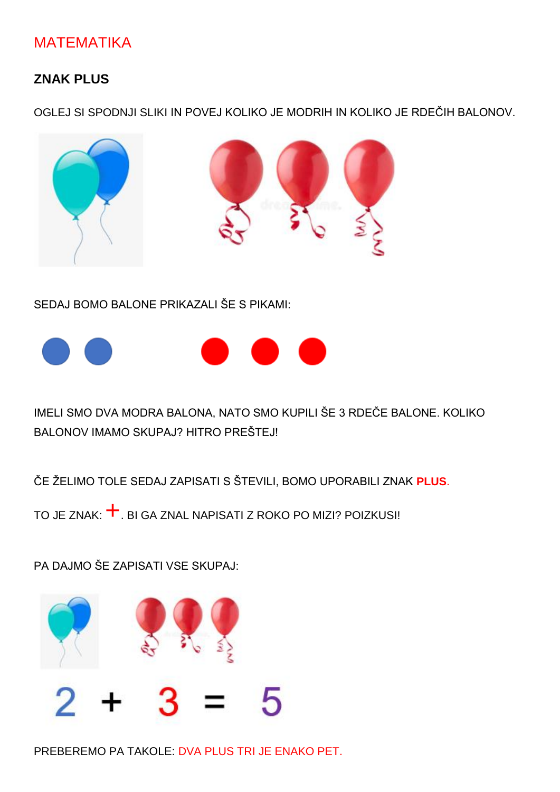### **MATEMATIKA**

#### **ZNAK PLUS**

OGLEJ SI SPODNJI SLIKI IN POVEJ KOLIKO JE MODRIH IN KOLIKO JE RDEČIH BALONOV.



SEDAJ BOMO BALONE PRIKAZALI ŠE S PIKAMI:



IMELI SMO DVA MODRA BALONA, NATO SMO KUPILI ŠE 3 RDEČE BALONE. KOLIKO BALONOV IMAMO SKUPAJ? HITRO PREŠTEJ!

ČE ŽELIMO TOLE SEDAJ ZAPISATI S ŠTEVILI, BOMO UPORABILI ZNAK PLUS.

TO JE ZNAK:  $\pm$ . BI GA ZNAL NAPISATI Z ROKO PO MIZI? POIZKUSI!

PA DAJMO ŠE ZAPISATI VSE SKUPAJ:



PREBEREMO PA TAKOLE: DVA PLUS TRI JE ENAKO PET.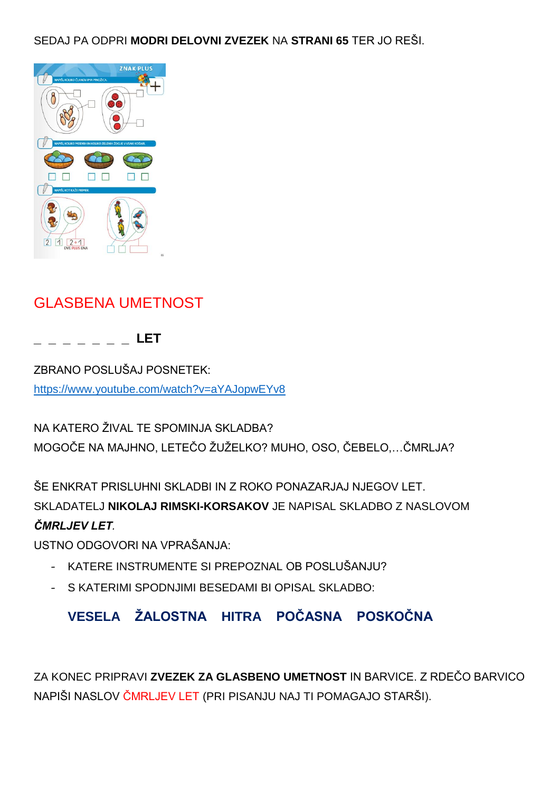SEDAJ PA ODPRI **MODRI DELOVNI ZVEZEK** NA **STRANI 65** TER JO REŠI.



## GLASBENA UMETNOST

**\_ \_ \_ \_ \_ \_ \_ LET**

ZBRANO POSLUŠAJ POSNETEK: <https://www.youtube.com/watch?v=aYAJopwEYv8>

NA KATERO ŽIVAL TE SPOMINJA SKLADBA? MOGOČE NA MAJHNO, LETEČO ŽUŽELKO? MUHO, OSO, ČEBELO,…ČMRLJA?

ŠE ENKRAT PRISLUHNI SKLADBI IN Z ROKO PONAZARJAJ NJEGOV LET. SKLADATELJ **NIKOLAJ RIMSKI-KORSAKOV** JE NAPISAL SKLADBO Z NASLOVOM *ČMRLJEV LET.*

USTNO ODGOVORI NA VPRAŠANJA:

- KATERE INSTRUMENTE SI PREPOZNAL OB POSLUŠANJU?
- S KATERIMI SPODNJIMI BESEDAMI BI OPISAL SKLADBO:

#### **VESELA ŽALOSTNA HITRA POČASNA POSKOČNA**

ZA KONEC PRIPRAVI **ZVEZEK ZA GLASBENO UMETNOST** IN BARVICE. Z RDEČO BARVICO NAPIŠI NASLOV ČMRLJEV LET (PRI PISANJU NAJ TI POMAGAJO STARŠI).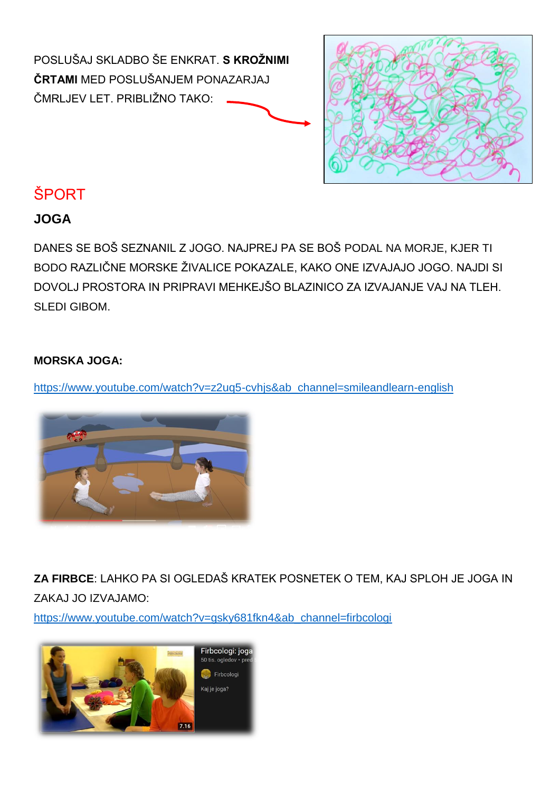



## **ŠPORT**

#### **JOGA**

DANES SE BOŠ SEZNANIL Z JOGO. NAJPREJ PA SE BOŠ PODAL NA MORJE, KJER TI BODO RAZLIČNE MORSKE ŽIVALICE POKAZALE, KAKO ONE IZVAJAJO JOGO. NAJDI SI DOVOLJ PROSTORA IN PRIPRAVI MEHKEJŠO BLAZINICO ZA IZVAJANJE VAJ NA TLEH. SLEDI GIBOM.

#### **MORSKA JOGA:**

[https://www.youtube.com/watch?v=z2uq5-cvhjs&ab\\_channel=smileandlearn-english](https://www.youtube.com/watch?v=z2UQ5-cVHjs&ab_channel=SmileandLearn-English)



**ZA FIRBCE**: LAHKO PA SI OGLEDAŠ KRATEK POSNETEK O TEM, KAJ SPLOH JE JOGA IN ZAKAJ JO IZVAJAMO:

[https://www.youtube.com/watch?v=gsky681fkn4&ab\\_channel=firbcologi](https://www.youtube.com/watch?v=gSKY681Fkn4&ab_channel=Firbcologi)